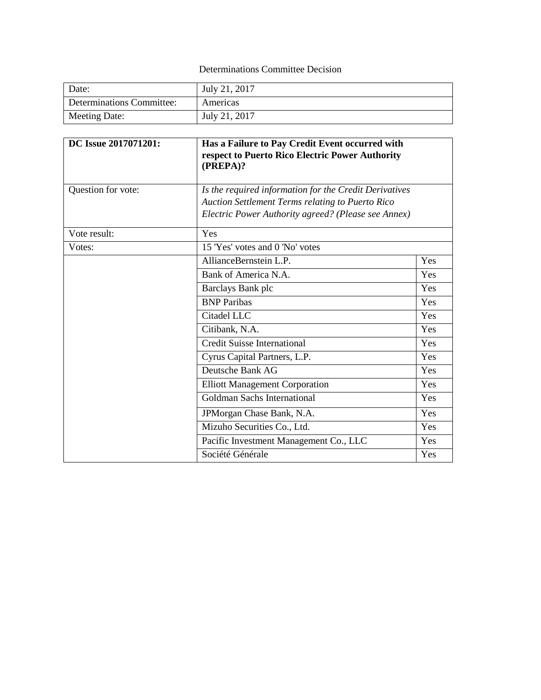## Determinations Committee Decision

| Date:                     | July 21, 2017 |
|---------------------------|---------------|
| Determinations Committee: | Americas      |
| Meeting Date:             | July 21, 2017 |

| DC Issue 2017071201: | Has a Failure to Pay Credit Event occurred with<br>respect to Puerto Rico Electric Power Authority<br>(PREPA)?                                                    |     |
|----------------------|-------------------------------------------------------------------------------------------------------------------------------------------------------------------|-----|
| Question for vote:   | Is the required information for the Credit Derivatives<br>Auction Settlement Terms relating to Puerto Rico<br>Electric Power Authority agreed? (Please see Annex) |     |
| Vote result:         | Yes                                                                                                                                                               |     |
| Votes:               | 15 'Yes' votes and 0 'No' votes                                                                                                                                   |     |
|                      | AllianceBernstein L.P.                                                                                                                                            | Yes |
|                      | Bank of America N.A.                                                                                                                                              | Yes |
|                      | Barclays Bank plc                                                                                                                                                 | Yes |
|                      | <b>BNP</b> Paribas                                                                                                                                                | Yes |
|                      | Citadel LLC                                                                                                                                                       | Yes |
|                      | Citibank, N.A.                                                                                                                                                    | Yes |
|                      | <b>Credit Suisse International</b>                                                                                                                                | Yes |
|                      | Cyrus Capital Partners, L.P.                                                                                                                                      | Yes |
|                      | Deutsche Bank AG                                                                                                                                                  | Yes |
|                      | <b>Elliott Management Corporation</b>                                                                                                                             | Yes |
|                      | <b>Goldman Sachs International</b>                                                                                                                                | Yes |
|                      | JPMorgan Chase Bank, N.A.                                                                                                                                         | Yes |
|                      | Mizuho Securities Co., Ltd.                                                                                                                                       | Yes |
|                      | Pacific Investment Management Co., LLC                                                                                                                            | Yes |
|                      | Société Générale                                                                                                                                                  | Yes |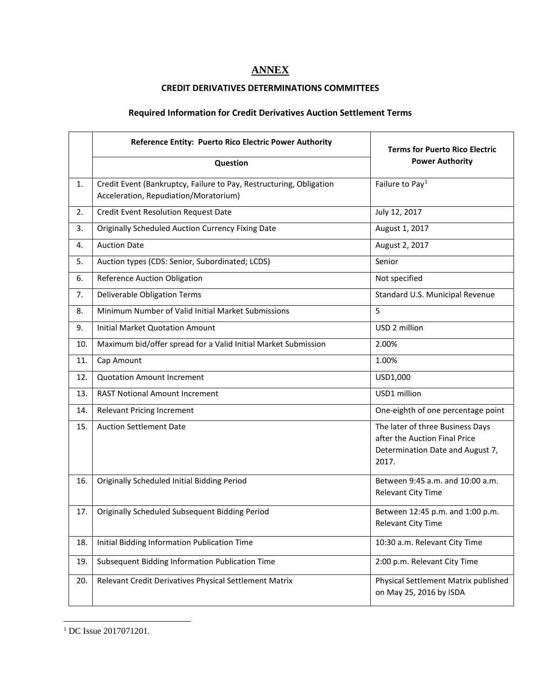## **ANNEX**

## **CREDIT DERIVATIVES DETERMINATIONS COMMITTEES**

## **Required Information for Credit Derivatives Auction Settlement Terms**

|     | Reference Entity: Puerto Rico Electric Power Authority                                                       | <b>Terms for Puerto Rico Electric</b><br><b>Power Authority</b>                                                |  |
|-----|--------------------------------------------------------------------------------------------------------------|----------------------------------------------------------------------------------------------------------------|--|
|     | Question                                                                                                     |                                                                                                                |  |
| 1.  | Credit Event (Bankruptcy, Failure to Pay, Restructuring, Obligation<br>Acceleration, Repudiation/Moratorium) | Failure to Pay <sup>1</sup>                                                                                    |  |
| 2.  | <b>Credit Event Resolution Request Date</b>                                                                  | July 12, 2017                                                                                                  |  |
| 3.  | <b>Originally Scheduled Auction Currency Fixing Date</b>                                                     | August 1, 2017                                                                                                 |  |
| 4.  | <b>Auction Date</b>                                                                                          | August 2, 2017                                                                                                 |  |
| 5.  | Auction types (CDS: Senior, Subordinated; LCDS)                                                              | Senior                                                                                                         |  |
| 6.  | <b>Reference Auction Obligation</b>                                                                          | Not specified                                                                                                  |  |
| 7.  | Deliverable Obligation Terms                                                                                 | Standard U.S. Municipal Revenue                                                                                |  |
| 8.  | Minimum Number of Valid Initial Market Submissions                                                           | 5                                                                                                              |  |
| 9.  | <b>Initial Market Quotation Amount</b>                                                                       | USD 2 million                                                                                                  |  |
| 10. | Maximum bid/offer spread for a Valid Initial Market Submission                                               | 2.00%                                                                                                          |  |
| 11. | Cap Amount                                                                                                   | 1.00%                                                                                                          |  |
| 12. | <b>Quotation Amount Increment</b>                                                                            | USD1,000                                                                                                       |  |
| 13. | <b>RAST Notional Amount Increment</b>                                                                        | USD1 million                                                                                                   |  |
| 14. | <b>Relevant Pricing Increment</b>                                                                            | One-eighth of one percentage point                                                                             |  |
| 15. | <b>Auction Settlement Date</b>                                                                               | The later of three Business Days<br>after the Auction Final Price<br>Determination Date and August 7,<br>2017. |  |
| 16. | Originally Scheduled Initial Bidding Period                                                                  | Between 9:45 a.m. and 10:00 a.m.<br>Relevant City Time                                                         |  |
| 17. | Originally Scheduled Subsequent Bidding Period                                                               | Between 12:45 p.m. and 1:00 p.m.<br><b>Relevant City Time</b>                                                  |  |
| 18. | Initial Bidding Information Publication Time                                                                 | 10:30 a.m. Relevant City Time                                                                                  |  |
| 19. | Subsequent Bidding Information Publication Time                                                              | 2:00 p.m. Relevant City Time                                                                                   |  |
| 20. | Relevant Credit Derivatives Physical Settlement Matrix                                                       | Physical Settlement Matrix published<br>on May 25, 2016 by ISDA                                                |  |

<span id="page-1-0"></span>l <sup>1</sup> DC Issue 2017071201.